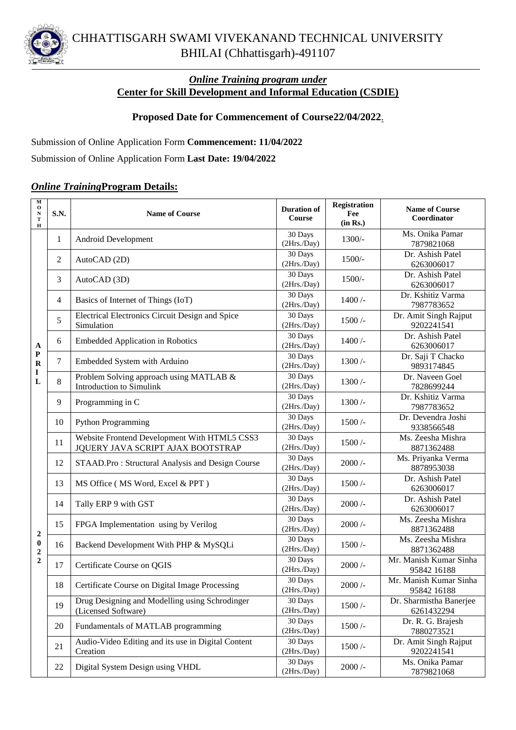

## *Online Training program under* **Center for Skill Development and Informal Education (CSDIE)**

## **Proposed Date for Commencement of Course22/04/2022**.

Submission of Online Application Form **Commencement: 11/04/2022**

Submission of Online Application Form **Last Date: 19/04/2022**

## *Online Training***Program Details:**

| M<br>$\mathbf{o}$<br>${\bf N}$<br>T<br>$\bf H$                     | <b>S.N.</b>    | <b>Name of Course</b>                                                             | <b>Duration of</b><br>Course | <b>Registration</b><br>Fee<br>(in Rs.) | <b>Name of Course</b><br>Coordinator  |
|--------------------------------------------------------------------|----------------|-----------------------------------------------------------------------------------|------------------------------|----------------------------------------|---------------------------------------|
| A<br>${\bf P}$<br>$\mathbf R$<br>I<br>L                            | 1              | Android Development                                                               | 30 Days<br>(2Hrs./Day)       | $1300/-$                               | Ms. Onika Pamar<br>7879821068         |
|                                                                    | 2              | AutoCAD (2D)                                                                      | 30 Days<br>(2Hrs./Day)       | $1500/-$                               | Dr. Ashish Patel<br>6263006017        |
|                                                                    | 3              | AutoCAD (3D)                                                                      | 30 Days<br>(2Hrs./Day)       | $1500/-$                               | Dr. Ashish Patel<br>6263006017        |
|                                                                    | $\overline{4}$ | Basics of Internet of Things (IoT)                                                | 30 Days<br>(2Hrs/Day)        | $1400/$ -                              | Dr. Kshitiz Varma<br>7987783652       |
|                                                                    | 5              | <b>Electrical Electronics Circuit Design and Spice</b><br>Simulation              | 30 Days<br>(2Hrs./Day)       | $1500/$ -                              | Dr. Amit Singh Rajput<br>9202241541   |
|                                                                    | 6              | <b>Embedded Application in Robotics</b>                                           | 30 Days<br>(2Hrs./Day)       | 1400/                                  | Dr. Ashish Patel<br>6263006017        |
|                                                                    | 7              | Embedded System with Arduino                                                      | 30 Days<br>(2Hrs./Day)       | $1300/$ -                              | Dr. Saji T Chacko<br>9893174845       |
|                                                                    | 8              | Problem Solving approach using MATLAB &<br>Introduction to Simulink               | 30 Days<br>(2Hrs./Day)       | $1300/$ -                              | Dr. Naveen Goel<br>7828699244         |
|                                                                    | 9              | Programming in C                                                                  | 30 Days<br>(2Hrs./Day)       | $1300/$ -                              | Dr. Kshitiz Varma<br>7987783652       |
|                                                                    | 10             | <b>Python Programming</b>                                                         | 30 Days<br>(2Hrs./Day)       | 1500/                                  | Dr. Devendra Joshi<br>9338566548      |
|                                                                    | 11             | Website Frontend Development With HTML5 CSS3<br>JQUERY JAVA SCRIPT AJAX BOOTSTRAP | 30 Days<br>(2Hrs./Day)       | 1500/                                  | Ms. Zeesha Mishra<br>8871362488       |
| $\boldsymbol{2}$<br>$\bf{0}$<br>$\boldsymbol{2}$<br>$\overline{2}$ | 12             | STAAD.Pro: Structural Analysis and Design Course                                  | 30 Days<br>(2Hrs./Day)       | $2000/-$                               | Ms. Priyanka Verma<br>8878953038      |
|                                                                    | 13             | MS Office (MS Word, Excel & PPT)                                                  | 30 Days<br>(2Hrs./Day)       | $1500/$ -                              | Dr. Ashish Patel<br>6263006017        |
|                                                                    | 14             | Tally ERP 9 with GST                                                              | 30 Days<br>(2Hrs./Day)       | $2000/-$                               | Dr. Ashish Patel<br>6263006017        |
|                                                                    | 15             | FPGA Implementation using by Verilog                                              | 30 Days<br>(2Hrs./Day)       | $2000/-$                               | Ms. Zeesha Mishra<br>8871362488       |
|                                                                    | 16             | Backend Development With PHP & MySQLi                                             | 30 Days<br>(2Hrs./Day)       | $1500/-$                               | Ms. Zeesha Mishra<br>8871362488       |
|                                                                    | 17             | Certificate Course on QGIS                                                        | 30 Days<br>(2Hrs./Day)       | $2000/-$                               | Mr. Manish Kumar Sinha<br>95842 16188 |
|                                                                    | 18             | Certificate Course on Digital Image Processing                                    | 30 Days<br>(2Hrs/Day)        | $2000/$ -                              | Mr. Manish Kumar Sinha<br>95842 16188 |
|                                                                    | 19             | Drug Designing and Modelling using Schrodinger<br>(Licensed Software)             | 30 Days<br>(2Hrs./Day)       | $1500/-$                               | Dr. Sharmistha Banerjee<br>6261432294 |
|                                                                    | 20             | Fundamentals of MATLAB programming                                                | 30 Days<br>(2Hrs./Day)       | $1500/-$                               | Dr. R. G. Brajesh<br>7880273521       |
|                                                                    | 21             | Audio-Video Editing and its use in Digital Content<br>Creation                    | 30 Days<br>(2Hrs./Day)       | $1500/-$                               | Dr. Amit Singh Rajput<br>9202241541   |
|                                                                    | 22             | Digital System Design using VHDL                                                  | 30 Days<br>(2Hrs./Day)       | $2000/-$                               | Ms. Onika Pamar<br>7879821068         |